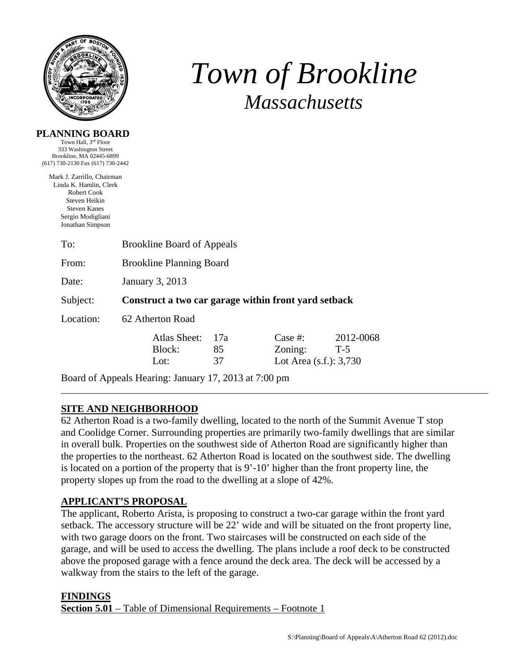

**PLANNING BOARD**  Town Hall, 3rd Floor

# *Town of Brookline Massachusetts*

| 333 Washington Street<br>Brookline, MA 02445-6899<br>(617) 730-2130 Fax (617) 730-2442                                                               |                                                       |                 |                                                    |                    |  |
|------------------------------------------------------------------------------------------------------------------------------------------------------|-------------------------------------------------------|-----------------|----------------------------------------------------|--------------------|--|
| Mark J. Zarrillo, Chairman<br>Linda K. Hamlin, Clerk<br>Robert Cook<br>Steven Heikin<br><b>Steven Kanes</b><br>Sergio Modigliani<br>Jonathan Simpson |                                                       |                 |                                                    |                    |  |
| To:                                                                                                                                                  | <b>Brookline Board of Appeals</b>                     |                 |                                                    |                    |  |
| From:                                                                                                                                                | <b>Brookline Planning Board</b>                       |                 |                                                    |                    |  |
| Date:                                                                                                                                                | January 3, 2013                                       |                 |                                                    |                    |  |
| Subject:                                                                                                                                             | Construct a two car garage within front yard setback  |                 |                                                    |                    |  |
| Location:                                                                                                                                            | 62 Atherton Road                                      |                 |                                                    |                    |  |
|                                                                                                                                                      | Atlas Sheet:<br>Block:<br>Lot:                        | 17a<br>85<br>37 | Case $#$ :<br>Zoning:<br>Lot Area $(s.f.)$ : 3,730 | 2012-0068<br>$T-5$ |  |
|                                                                                                                                                      | Board of Appeals Hearing: January 17, 2013 at 7:00 pm |                 |                                                    |                    |  |

## **SITE AND NEIGHBORHOOD**

62 Atherton Road is a two-family dwelling, located to the north of the Summit Avenue T stop and Coolidge Corner. Surrounding properties are primarily two-family dwellings that are similar in overall bulk. Properties on the southwest side of Atherton Road are significantly higher than the properties to the northeast. 62 Atherton Road is located on the southwest side. The dwelling is located on a portion of the property that is 9'-10' higher than the front property line, the property slopes up from the road to the dwelling at a slope of 42%.

#### **APPLICANT'S PROPOSAL**

The applicant, Roberto Arista, is proposing to construct a two-car garage within the front yard setback. The accessory structure will be 22' wide and will be situated on the front property line, with two garage doors on the front. Two staircases will be constructed on each side of the garage, and will be used to access the dwelling. The plans include a roof deck to be constructed above the proposed garage with a fence around the deck area. The deck will be accessed by a walkway from the stairs to the left of the garage.

#### **FINDINGS Section 5.01** – Table of Dimensional Requirements – Footnote 1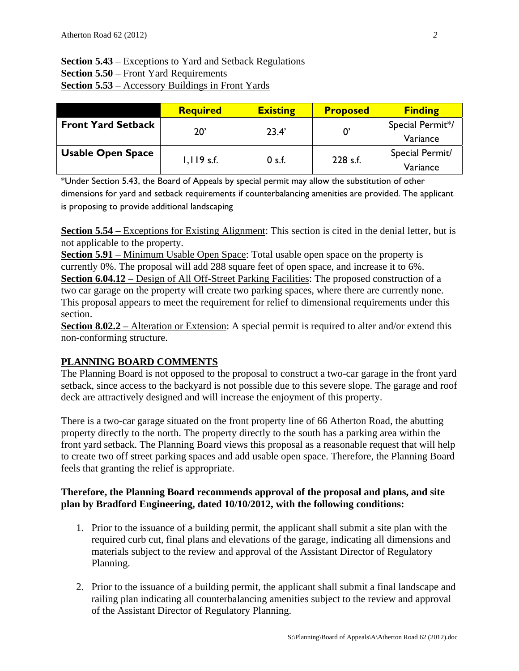## **Section 5.43** – Exceptions to Yard and Setback Regulations **Section 5.50** – Front Yard Requirements **Section 5.53** – Accessory Buildings in Front Yards

|                           | <b>Required</b> | <b>Existing</b> | <b>Proposed</b> | <b>Finding</b>   |
|---------------------------|-----------------|-----------------|-----------------|------------------|
| <b>Front Yard Setback</b> | 20'             | 23.4'           |                 | Special Permit*/ |
|                           |                 |                 |                 | Variance         |
| <b>Usable Open Space</b>  |                 | 0 s.f.          | 228 s.f.        | Special Permit/  |
|                           | $1,119$ s.f.    |                 |                 | Variance         |

\*Under Section 5.43, the Board of Appeals by special permit may allow the substitution of other dimensions for yard and setback requirements if counterbalancing amenities are provided. The applicant is proposing to provide additional landscaping

**Section 5.54** – Exceptions for Existing Alignment: This section is cited in the denial letter, but is not applicable to the property.

**Section 5.91** – Minimum Usable Open Space: Total usable open space on the property is currently 0%. The proposal will add 288 square feet of open space, and increase it to 6%. **Section 6.04.12** – Design of All Off-Street Parking Facilities: The proposed construction of a two car garage on the property will create two parking spaces, where there are currently none. This proposal appears to meet the requirement for relief to dimensional requirements under this section.

**Section 8.02.2** – Alteration or Extension: A special permit is required to alter and/or extend this non-conforming structure.

## **PLANNING BOARD COMMENTS**

The Planning Board is not opposed to the proposal to construct a two-car garage in the front yard setback, since access to the backyard is not possible due to this severe slope. The garage and roof deck are attractively designed and will increase the enjoyment of this property.

There is a two-car garage situated on the front property line of 66 Atherton Road, the abutting property directly to the north. The property directly to the south has a parking area within the front yard setback. The Planning Board views this proposal as a reasonable request that will help to create two off street parking spaces and add usable open space. Therefore, the Planning Board feels that granting the relief is appropriate.

## **Therefore, the Planning Board recommends approval of the proposal and plans, and site plan by Bradford Engineering, dated 10/10/2012, with the following conditions:**

- 1. Prior to the issuance of a building permit, the applicant shall submit a site plan with the required curb cut, final plans and elevations of the garage, indicating all dimensions and materials subject to the review and approval of the Assistant Director of Regulatory Planning.
- 2. Prior to the issuance of a building permit, the applicant shall submit a final landscape and railing plan indicating all counterbalancing amenities subject to the review and approval of the Assistant Director of Regulatory Planning.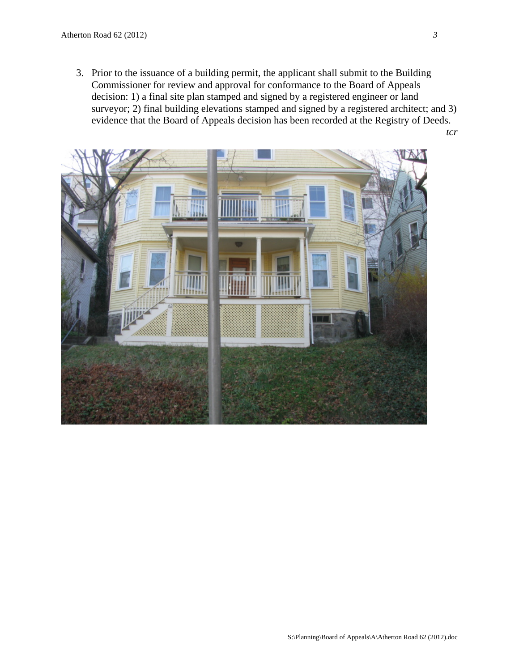3. Prior to the issuance of a building permit, the applicant shall submit to the Building Commissioner for review and approval for conformance to the Board of Appeals decision: 1) a final site plan stamped and signed by a registered engineer or land surveyor; 2) final building elevations stamped and signed by a registered architect; and 3) evidence that the Board of Appeals decision has been recorded at the Registry of Deeds. *tcr*